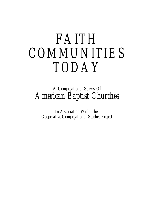# *FAITH COMMUNITIES TODAY*

# *A Congregational Survey Of American Baptist Churches*

*In Association With The Cooperative Congregational Studies Project*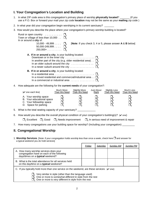# **I. Your Congregation's Location and Building**

- 1. In what ZIP code area is this congregation's primary place of worship **physically located**? \_\_\_\_\_\_\_ (If you use a P.O. Box or forward your mail your zip code **location** may not be the same as your **mailing** zip code )
- 2. In what year did your congregation begin worshiping in its current sanctuary?
- 3. How would you describe the place where your congregation's primary worship building is located?

|    | Rural or open country $\ldots \ldots \ldots$<br>Town or village of less than 10,000 $\ldots$ $\square_{2}$<br>In or around a city of:<br>10,000 - 49,999 $\dots$ $\square$ <sub>3</sub><br>50,000-249,999 $\ldots$ $\Box$ <sub>4</sub><br>250,000+ $\square_5$                              |                           | [Note: If you check 3, 4 or 5, please answer $A \& B$ below] |                     |                                      |                                  |
|----|---------------------------------------------------------------------------------------------------------------------------------------------------------------------------------------------------------------------------------------------------------------------------------------------|---------------------------|--------------------------------------------------------------|---------------------|--------------------------------------|----------------------------------|
|    | A. If in or around a city, is your building located:<br>Downtown or in the inner city $\ldots \ldots \ldots \ldots \ldots \ldots \square_1$<br>In another part of the city (e.g. older residential area). $\Box$<br>In an older suburb around the city $\ldots \ldots \ldots \ldots \ldots$ |                           |                                                              |                     |                                      |                                  |
|    | <b>B.</b> If in or around a city, is your building located:<br>In a mixed residential and commercial/industrial area $\Box_2$<br>In a commercial or industrial area $\ldots \ldots \ldots \ldots \ldots \square_3$                                                                          |                           |                                                              |                     |                                      |                                  |
| 4. | How adequate are the following for the current needs of your congregation?:                                                                                                                                                                                                                 |                           |                                                              |                     |                                      |                                  |
|    | $(\vee)$ one each line)                                                                                                                                                                                                                                                                     | Much More<br>Than We Need | <b>Slightly More</b><br>Than We Need                         | Just About<br>Right | <b>Slightly Less</b><br>Than We Need | <b>Much Less</b><br>Than We Need |
|    | A. Your worship space<br>B. Your educational space<br>C. Your fellowship space<br>D. Space for parking                                                                                                                                                                                      |                           |                                                              |                     |                                      |                                  |

- 5. What is the total seating capacity of your sanctuary?
- 6. How would you describe the overall physical condition of your congregation's building(s)? ( $\vee$  one)

|  |  | $\Box_1$ Excellent $\Box_2$ Good $\Box_3$ Needs improvement $\Box_4$ In serious need of improvement & repair |  |  |
|--|--|--------------------------------------------------------------------------------------------------------------|--|--|
|--|--|--------------------------------------------------------------------------------------------------------------|--|--|

7. How many congregations use your building space for worship? (Including your congregation)

## **II. Congregational Worship**

1. Worship Services. [Note: if your congregation holds worship less than once a week, check here  $\Box$  and answer for a typical weekend you do hold services]

|                                                                                                                                                                                                                         | Friday | Saturday | Sunday AM | Sundav PM |  |  |  |
|-------------------------------------------------------------------------------------------------------------------------------------------------------------------------------------------------------------------------|--------|----------|-----------|-----------|--|--|--|
| A. How many worship services does your<br>congregation have on each of the following<br>days/times on a typical weekend?                                                                                                |        |          |           |           |  |  |  |
| B. What is the total attendance for all services held<br>on this day/time on a typical weekend?                                                                                                                         |        |          |           |           |  |  |  |
| C. If you typically hold more than one service on the weekend, are these services: $(v \text{ one})$                                                                                                                    |        |          |           |           |  |  |  |
| Very similar in style (other than the language used)<br>$\Box$ <sub>2</sub> One or more is somewhat different in style from the rest<br>$\Box$ <sub>3</sub> One or more is <i>very different</i> in style from the rest |        |          |           |           |  |  |  |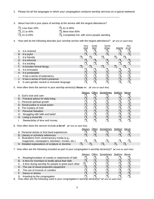2. Please list all the languages in which your congregation conducts worship services on a typical weekend:

\_\_\_\_\_\_\_\_\_\_\_\_\_\_\_\_\_\_\_\_\_\_\_\_\_\_\_\_\_\_\_\_\_\_\_\_\_\_\_\_\_\_\_\_\_\_\_\_\_\_\_\_\_\_\_\_\_\_\_\_\_\_\_\_\_\_\_\_\_\_\_\_\_

3. About how full is your place of worship at the service with the largest attendance?

 $\Box_1$  Less than 20%  $\Box_4$  61 to 80%  $\Box_2$  21 to 40%  $\Box_5$  More than 80%  $\Box_3$  41 to 60%  $\Box_8$  Completely full.  $\Box$ <sub>6</sub> Completely full, with some people standing

4. How well do the following describe your worship service with the largest attendance?  $(V$  one on each line)

- *Very Quite Some- Not Well Well What Slightly At All* A. It is reverent  $\Box_1$   $\Box_2$   $\Box_3$   $\Box_4$   $\Box_5$ <br>B. It is joyful  $\Box_1$   $\Box_2$   $\Box_3$   $\Box_4$   $\Box_5$ B. It is joyful that the same formulation  $\Box_1$   $\Box_2$   $\Box_3$   $\Box_4$   $\Box_5$ C. It is friendly  $\Box_1$   $\Box_2$   $\Box_3$   $\Box_4$   $\Box_5$ D. It is informal the contract of  $\Box_1$   $\Box_2$   $\Box_3$   $\Box_4$   $\Box_5$ E. It is exciting the contract of  $\overline{\square}_1$   $\overline{\square}_2$   $\overline{\square}_3$   $\overline{\square}_4$   $\overline{\square}_5$ F. It is exciting<br>
F. It includes formal liturgy<br>
G. It is innovative<br>  $\Box_1 \quad \Box_2 \quad \Box_3 \quad \Box_3 \quad \Box_4 \quad \Box_5$ <br>  $\Box_1 \quad \Box_2 \quad \Box_3 \quad \Box_3 \quad \Box_4 \quad \Box_5$ G. It is innovative  $\Box_1$   $\Box_2$   $\Box_3$   $\Box_4$   $\Box_5$ <br>
H. It is predictable  $\Box_1$   $\Box_2$   $\Box_3$   $\Box_4$   $\Box_5$ H. It is predictable  $\begin{array}{ccccccc} \Box_1 & \Box_2 & \Box_3 & \Box_4 & \Box_5 \ \Box & \Box & \Box_2 & \Box_3 & \Box_4 & \Box_5 \ \Box & \Box & \Box_3 & \Box_4 & \Box_5 \end{array}$ I. It has a sense of expectancy  $\Box_1$   $\Box_2$   $\Box_3$   $\Box_4$   $\Box_5$ <br>
J. It has a sense of God's presence  $\Box_1$   $\Box_2$   $\Box_3$   $\Box_4$   $\Box_5$ J. It has a sense of God's presence K. It uses gender neutral or inclusive language  $\Box_1$   $\Box_2$   $\Box_3$   $\Box_4$   $\Box_5$
- 5. How often does the sermon in your worship service(s) **focus** on: (**v** one on each line)

|                                      | Alwavs | Often Sometimes Seldom Never |  |  |
|--------------------------------------|--------|------------------------------|--|--|
| A. God's love and care               |        |                              |  |  |
| B. Practical advice for daily living |        |                              |  |  |
| C. Personal spiritual growth         |        |                              |  |  |
| D. Social justice or social action   |        |                              |  |  |
| E. The mystery of God                |        |                              |  |  |
| F. Personal Salvation                |        |                              |  |  |
| G. Struggling with faith and belief  |        |                              |  |  |
| H. Living a moral life               |        |                              |  |  |
| Stewardship of time and money        |        |                              |  |  |

6. How often does the sermon include **a lot of**:  $(\vee)$  one on each line)

|                                                   | Always | Often Sometimes Seldom | Never |  |
|---------------------------------------------------|--------|------------------------|-------|--|
| A. Personal stories or first-hand experiences     |        |                        |       |  |
| B. Literary or scholarly references               |        |                        |       |  |
| C. Illustrations from contemporary media (e.g.,   |        |                        |       |  |
| magazines, newspapers, television, movies, etc.)  |        |                        |       |  |
| D. Detailed explanations of scripture or doctrine |        |                        |       |  |

7. How often are the following included as part of your congregation's worship service(s)? ( $\vee$  one on each line)

|    |                                                         | Alwavs | Often | Sometimes Seldom | Never |  |
|----|---------------------------------------------------------|--------|-------|------------------|-------|--|
| Α. | Reading/recitation of creeds or statements of faith     |        |       |                  |       |  |
|    | B. A time for members to testify about their faith      |        |       |                  |       |  |
|    | C. A time during worship for people to greet each other |        |       |                  |       |  |
|    | D. The use of visual projection equipment               |        |       |                  |       |  |
|    | E. The use of incense or candles                        |        |       |                  |       |  |
|    | Dance or drama                                          |        |       |                  |       |  |
|    | G. Kneeling by the congregation                         |        |       |                  |       |  |

8. How often are the following used in your congregation's worship service(s)? ( $\vee$  one on each line)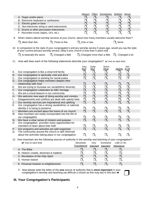|     |                                                                                                                                                                                                               | Always                         |               | Often Sometimes Seldom Never |                                      |               |
|-----|---------------------------------------------------------------------------------------------------------------------------------------------------------------------------------------------------------------|--------------------------------|---------------|------------------------------|--------------------------------------|---------------|
|     | A. Organ and/or piano                                                                                                                                                                                         | $\Box_{\scriptscriptstyle{1}}$ | $\Box_2$      | $\square_3$                  | $\square_{4}$                        | $\Box_5$      |
|     | B. Electronic keyboard or synthesizer                                                                                                                                                                         | $\Box_{\scriptscriptstyle{1}}$ | $\Box_2$      | $\Box_3$                     | $\Box_{4}$                           | $\Box_5$      |
|     | C. Electric guitar or bass                                                                                                                                                                                    | $\Box_{\scriptscriptstyle{1}}$ | $\Box_2$      | $\Box_3$                     | $\Box_{\scriptscriptstyle{4}}$       | $\Box_5$      |
|     | D. Non-electronic string or wind instruments                                                                                                                                                                  | $\Box_{\scriptscriptstyle{1}}$ | $\Box_2$      | $\Box_{_3}$                  | $\Box_{4}$                           | $\Box_5$      |
|     | E. Drums or other percussion instruments                                                                                                                                                                      | $\Box_{\scriptscriptstyle{1}}$ | $\Box_2$      | $\Box_3$                     | $\Box_{4}$                           | $\square_{5}$ |
|     | F. Recorded music (tapes, cd's, etc.)                                                                                                                                                                         | $\Box_{\scriptscriptstyle{1}}$ | $\Box_{2}$    | $\Box_{_3}$                  | $\Box_{4}$                           | $\square_{5}$ |
|     |                                                                                                                                                                                                               |                                |               |                              |                                      |               |
| 9.  | When visitors attend worship services at your church, about how many members usually welcome them?                                                                                                            |                                |               |                              |                                      |               |
|     | $\Box$ <sub>1</sub> More than five<br>$\Box$ <sub>2</sub> Three to five $\Box$ <sub>3</sub> One or two                                                                                                        |                                |               |                              | $\square$ <sub>4</sub> None          |               |
|     |                                                                                                                                                                                                               |                                |               |                              |                                      |               |
|     | 10. In comparison to the style of your congregation's primary worship service 5 years ago, would you say the style<br>of your current primary worship service: [Skip if your church is less than 5 years old] |                                |               |                              |                                      |               |
|     |                                                                                                                                                                                                               |                                |               |                              |                                      |               |
|     | $\Box_1$ Is basically the same $\Box_2$ Changed a little $\Box_3$ Changed more than a little                                                                                                                  |                                |               |                              | $\square$ <sub>4</sub> Changed a lot |               |
| 11. | How well does each of the following statements describe your congregation? $(\checkmark)$ one on each line)                                                                                                   |                                |               |                              |                                      |               |
|     |                                                                                                                                                                                                               |                                |               |                              |                                      |               |
|     |                                                                                                                                                                                                               | Very                           | Quite         | Some-                        |                                      | Not           |
|     |                                                                                                                                                                                                               | <u>Well</u>                    | Well          | <u>What</u>                  | Slightly At All                      |               |
| А.  | Our congregation is like a close-knit family                                                                                                                                                                  | $\Box_{1}$                     | $\Box_{2}$    | $\Box_3$                     | $\square_{\scriptscriptstyle 4}$     | $\Box$        |
| В.  | Our congregation is spiritually vital and alive                                                                                                                                                               | $\Box_{1}$                     | $\Box_2$      | $\square_3$                  | $\Box_4$                             | $\square_{5}$ |
| C.  | Our congregation is working for social justice                                                                                                                                                                | $\Box_{\scriptscriptstyle{1}}$ | $\Box_{2}$    | $\square_{3}$                | $\Box_{\scriptscriptstyle{4}}$       | ▢             |
| D.  | Our congregation helps members deepen their                                                                                                                                                                   |                                |               |                              |                                      |               |
|     | relationship with God                                                                                                                                                                                         | $\Box_{\scriptscriptstyle{1}}$ | $\square_{2}$ | $\Box_3$                     | $\square_4$                          | $\Box_5$      |
| Е.  | We are trying to increase our racial/ethnic diversity                                                                                                                                                         | $\Box_{1}$                     | $\Box_{2}$    | $\Box_3$                     | $\Box_{4}$                           | $\Box_5$      |
| F.  | Our congregation celebrates its ABC heritage                                                                                                                                                                  | $\Box_{1}$                     | $\Box_2$      | $\Box_3$                     | $\square$ <sub>4</sub>               | $\Box_5$      |
| G.  | We are a moral beacon in our community                                                                                                                                                                        | $\Box_{1}$                     | $\Box_2$      | $\Box_3$                     | $\Box_{4}$                           | $\Box_5$      |
| Η.  | We welcome new ways of doing worship and ministry                                                                                                                                                             | $\Box_1$                       | $\Box_{2}$    | $\square_{3}$                | $\Box_4$                             | $\Box_5$      |
| I.  | Disagreements and conflicts are dealt with openly here                                                                                                                                                        | $\Box_1$                       | $\Box_2$      | $\Box_3$                     | $\Box_{4}$                           | $\Box_5$      |
| J.  | Our worship services are inspirational and uplifting                                                                                                                                                          | $\Box$ <sub>1</sub>            | $\Box_{2}$    | $\square_{3}$                | $\Box_{4}$                           | $\Box_5$      |
| Κ.  | Our congregation has a strong racial/ethnic or national                                                                                                                                                       |                                |               |                              |                                      |               |
|     | identity it is trying to preserve                                                                                                                                                                             | $\Box_{1}$                     | $\Box_2$      | $\square_3$                  | $\Box_{4}$                           | $\square_{5}$ |
| L.  | Members are excited about the future of our church                                                                                                                                                            | $\Box$                         | $\Box$        | $\square_3$                  | $\Box_4$                             | $\Box_5$      |
| М.  | New members are easily incorporated into the life of                                                                                                                                                          |                                |               |                              |                                      |               |
|     | our congregation                                                                                                                                                                                              | $\Box_{1}$                     | $\Box_2$      | $\square_3$                  | $\square_4$                          | $\Box_5$      |
| Ν.  | We have a clear sense of mission and purpose                                                                                                                                                                  | $\Box$                         | $\Box_{2}$    | $\square_{_3}$               | $\Box_{4}$                           | $\square_{5}$ |
| O.  | Our congregation provides many opportunities for                                                                                                                                                              |                                |               |                              |                                      |               |
|     | members to learn about their faith                                                                                                                                                                            | $\Box_1$                       | $\Box_2$      | $\Box_3$                     | $\Box_{4}$                           | $\Box_5$      |
| Ρ.  | Our programs and activities are well-organized                                                                                                                                                                | $\Box_{\scriptscriptstyle{4}}$ | $\Box_{2}$    | $\square_3$                  | $\Box_4$                             | $\Box_5$      |
| Q.  | The community around the church is well informed<br>about the activities taking place in our congregation                                                                                                     |                                |               |                              |                                      |               |
|     |                                                                                                                                                                                                               | $\square_{1}$                  | $\Box_2$      | $\Box_3$                     | $\square_4$                          | $\square_5$   |
|     | 12. How important are the following sources of authority in the worship and teaching of your congregation?                                                                                                    |                                |               |                              |                                      |               |
|     | $(V$ one on each line)                                                                                                                                                                                        | Absolutely                     | Very          | Somewhat                     | Little Or No                         |               |
|     |                                                                                                                                                                                                               | Foundational                   |               | Important Important          | Importance                           |               |
|     | A. The Bible                                                                                                                                                                                                  | $\Box_{1}$                     | $\Box_2$      | $\Box_3$                     | $\Box_{4}$                           |               |
|     | B. Historic creeds, doctrines & tradition                                                                                                                                                                     | $\Box_{1}$                     | $\Box_2$      | $\Box_3$                     | $\Box_{4}$                           |               |
|     | C. Revelation of the Holy Spirit                                                                                                                                                                              | $\Box_{\scriptscriptstyle{1}}$ | $\square_{2}$ | $\square_{3}$                | $\square_{\scriptscriptstyle{A}}$    |               |
|     | D. Human reason                                                                                                                                                                                               | $\Box_1$                       |               |                              | $\square_4$                          |               |
|     |                                                                                                                                                                                                               |                                | $\Box_2$      | $\square_3$                  |                                      |               |
|     | E. Personal intuition or enlightenment                                                                                                                                                                        | $\Box_{\scriptscriptstyle{1}}$ | $\square$ ,   | $\square_3$                  | $\square_{4}$                        |               |
|     |                                                                                                                                                                                                               |                                |               |                              |                                      |               |

 F. Now please write the letter of the *one* source of authority that is *most important* in your congregation's worship and teaching (as difficult a choice as this may be) in this box  $\rightarrow$ 

# **III. Your Congregation's Participants**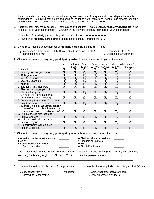- 1. Approximately how many persons would you say are associated *in any way* with the religious life of this congregation — counting both adults and children, counting both regular and irregular participants, counting both official or registered members and also participating nonmembers?  $\rightarrow \rightarrow$
- 2. Approximately how many persons both adults and children would you say *regularly participate* in the religious life of your congregation — *whether or not* they are officially members of your congregation?

| A. Number of regularly participating adults (18 and over) $\rightarrow \rightarrow \rightarrow \rightarrow \rightarrow \rightarrow \rightarrow$ |  |
|-------------------------------------------------------------------------------------------------------------------------------------------------|--|
| B. Number of regularly participating children and teens (17 and under) $\rightarrow \rightarrow$                                                |  |

- 3. Since 1995, has the above number of **regularly participating adults**: ( $\vee$  one)
	- $\Box_1$  Increased 10% or more  $\Box_3$  Stayed about the same (+/- 4%)  $\Box_2$  Increased 5% to 9%

 $\square_4$  Decreased 5% to 9%<br> $\square_5$  Decreased 10% or more

4. Of your total number of **regularly participating adults**, what percent would you estimate are:

|                                                                              | None        | Hardly Any<br>1-10%    | Few<br>11-20% | Some<br>21-40%                    | Many<br>41-60%  | Most<br>61-80%     | All or Nearly All<br>81-100% |
|------------------------------------------------------------------------------|-------------|------------------------|---------------|-----------------------------------|-----------------|--------------------|------------------------------|
| A. Female                                                                    | $\Box_{4}$  | $\Box_2$               | $\Box_3$      | $\square_{\scriptscriptstyle{A}}$ | $\square_{5}$   | $\square_{6}$      |                              |
| B. Not high school graduates                                                 | $\square_1$ | $\Box_2$               | $\square_3$   | $\square_4$                       | $\square_{5}$   | $\square_6$        | $\sqcup_{7}$                 |
| C. College graduates                                                         | $\Box$ .    | $\Box_2$               | $\square_3$   | $\Box_{4}$                        | $\square_{5}$   | $\square_6$        | $\sqcup_{7}$                 |
| D. Age 35 or younger                                                         | $\Box_{4}$  | $\square$ <sub>2</sub> | $\square_3$   | $\square_4$                       | $\square_{5}$   | $\square_6$        | $\Box_7$                     |
| E. Over 60 years old                                                         | $\Box$      | $\Box_2$               | $\Box_3$      | $\Box_4$                          | $\Box_5$        | $\square_6$        | $\sqcup_{7}$                 |
| F. Married                                                                   | $\Box_{4}$  | $\Box_2$               | $\square_3$   | $\square_{4}$                     | $\square_{5}$   | $\square_6$        | $\Box$                       |
| G. Life-long ABC members                                                     | $\Box$ .    | $\Box_2$               | $\square_3$   | $\Box_{4}$                        | $\square_{5}$   | $\square_6$        | $\sqcup_{7}$                 |
| H. New to our congregation in<br>the last five years                         | $\Box_1$    | $\square$              | $\square_3$   | $\square_{4}$                     | $\square_{5}$   | $\square_{\kappa}$ | $\Box$ <sub>7</sub>          |
| I. Living in the immediate area<br>around our church building                | $\Box_1$    | $\square$ ,            | $\square_3$   | $\Box_{4}$                        | $\square_{5}$   | $\square_{6}$      |                              |
| J. Commuting more than 15 minutes                                            |             |                        |               |                                   |                 |                    |                              |
| to get to our worship services                                               | $\Box$      | $\square$ ,            | $\square_3$   | $\square_{4}$                     | $\square_{5}$   | $\square_{\kappa}$ | $\Box_7$                     |
| K. Currently holding volunteer leader-<br>ship roles in our church (serve on |             |                        |               |                                   |                 |                    |                              |
| committees; teach Sunday school)                                             | $\Box$      | $\square$ ,            | $\square_3$   | $\square_4$                       | $\Box_{\kappa}$ | $\square_{\kappa}$ | $\sqcup_{7}$                 |
| L. In households with incomes                                                |             |                        |               |                                   |                 |                    |                              |
| below \$20,000                                                               | $\Box$      | $\square$              | $\square_3$   | $\square_4$                       | $\square_{5}$   | $\square_{\kappa}$ | $\Box_7$                     |
| M. In households with incomes<br>above \$75,000                              | $\Box$      | $\square$              | $\square_3$   | $\Box_{4}$                        | $\square_{5}$   | $\square_{\kappa}$ | $\square_7$                  |
| N. In households with children                                               |             |                        |               |                                   |                 |                    |                              |
| under 18 present                                                             | $\Box$      | $\Box_2$               | $\square_3$   | $\square_{4}$                     | $\square_{5}$   | $\square_{\kappa}$ | $\mathbf{L}_{7}$             |
|                                                                              |             |                        |               |                                   |                 |                    |                              |

5. Of your total number of **regularly participating adults**, how many would you estimate are:

| • American Indian/Alaska Native<br>$\bullet$ Asian<br>• Native Hawaiian or other<br>Pacific Islander | • Black or African American<br>• Hispanic or Latino/a<br>$\bullet$ White<br>$\bullet$ Biracial/multiracial |  |
|------------------------------------------------------------------------------------------------------|------------------------------------------------------------------------------------------------------------|--|
|------------------------------------------------------------------------------------------------------|------------------------------------------------------------------------------------------------------------|--|

|                           |                          | Within these racial/ethnic groups, are there any significant national sub-groups (e.g. German, Korean, Irish, |
|---------------------------|--------------------------|---------------------------------------------------------------------------------------------------------------|
| Mexican, Caribbean, etc)? | $\Box_1$ Yes $\Box_2$ No | <b>IF YES, please list them</b>                                                                               |

 $\_$  ,  $\_$  ,  $\_$  ,  $\_$  ,  $\_$  ,  $\_$  ,  $\_$  ,  $\_$  ,  $\_$  ,  $\_$  ,  $\_$  ,  $\_$  ,  $\_$  ,  $\_$  ,  $\_$  ,  $\_$  ,  $\_$  ,  $\_$  ,  $\_$  ,  $\_$  ,  $\_$  ,  $\_$  ,  $\_$  ,  $\_$  ,  $\_$  ,  $\_$  ,  $\_$  ,  $\_$  ,  $\_$  ,  $\_$  ,  $\_$  ,  $\_$  ,  $\_$  ,  $\_$  ,  $\_$  ,  $\_$  ,  $\_$  ,

6. How would you describe the basic *theological* outlook of the majority of your regularly participating adults? ( $\vee$  one)

 $\Box_1$  Very conservative  $\Box_3$  Moderate  $\Box_4$  Somewhat progressive or liberal  $\Box_5$  Somewhat Conservative  $\Box_5$  Very progressive or liberal  $\Box$ <sub>5</sub> Very progressive or liberal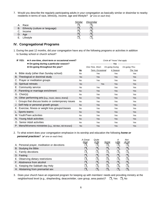7. Would you describe the regularly participating adults in your congregation as basically similar or dissimilar to nearby residents in terms of race, ethnicity, income, age and lifestyle?  $(\vee$  one on each line)

|    |                                    | Similar | Dissimilar |
|----|------------------------------------|---------|------------|
| Α. | Race                               |         |            |
|    | B. Ethnicity (culture or language) |         |            |
|    | Income                             |         |            |
|    | D. Age                             |         |            |
| Е. | Lifestyle                          |         |            |

# **IV. Congregational Programs**

1. During the past 12 months, did your congregation have any of the following programs or activities in addition to Sunday school or church school?

| IF YES:<br>• A one-time, short-term or occasional event?<br>• On-going during a particular season? |           | Circle all "Yeses" that apply    |            |               |  |  |  |
|----------------------------------------------------------------------------------------------------|-----------|----------------------------------|------------|---------------|--|--|--|
| • On-going throughout the year?                                                                    |           | One-Time, Short- On-going During |            | On-going Thru |  |  |  |
|                                                                                                    | <u>No</u> | Term, Occasional                 | A Season   | The Year      |  |  |  |
| A. Bible study (other than Sunday school)                                                          | No.       | Yes                              | Yes        | Yes           |  |  |  |
| B. Theological or doctrinal study                                                                  | <b>No</b> | Yes                              | <b>Yes</b> | <b>Yes</b>    |  |  |  |
| C. Prayer or meditation groups                                                                     | <b>No</b> | Yes                              | Yes        | Yes           |  |  |  |
| D. Spiritual retreats                                                                              | <b>No</b> | <b>Yes</b>                       | Yes        | Yes           |  |  |  |
| E. Community service                                                                               | <b>No</b> | Yes                              | Yes        | Yes           |  |  |  |
| F. Parenting or marriage enrichment                                                                | <b>No</b> | Yes                              | Yes        | <b>Yes</b>    |  |  |  |
| G. Choir(s)                                                                                        | <b>No</b> | Yes                              | Yes        | Yes           |  |  |  |
| H. Other performing arts (e.g., music, dance, drama)                                               | <b>No</b> | <b>Yes</b>                       | Yes        | <b>Yes</b>    |  |  |  |
| I. Groups that discuss books or contemporary issues                                                | <b>No</b> | Yes                              | Yes        | Yes           |  |  |  |
| J. Self-help or personal growth groups                                                             | <b>No</b> | <b>Yes</b>                       | Yes        | Yes           |  |  |  |
| K. Exercise, fitness or weight loss groups/classes                                                 | <b>No</b> | Yes                              | Yes        | Yes           |  |  |  |
| L. Sports teams                                                                                    | <b>No</b> | <b>Yes</b>                       | Yes        | Yes           |  |  |  |
| M. Youth/Teen activities                                                                           | No        | Yes                              | Yes        | Yes           |  |  |  |
| N. Young Adult activities                                                                          | <b>No</b> | <b>Yes</b>                       | Yes        | <b>Yes</b>    |  |  |  |
| O. Senior Adult activities                                                                         | <b>No</b> | Yes                              | Yes        | Yes           |  |  |  |
| P. Mens/Womens ministries (e.g., AB Men, AB Women)                                                 | <b>No</b> | Yes                              | Yes        | Yes           |  |  |  |

#### 2. To what extent does your congregation emphasize in its worship and education the following *home or personal practices*? ( $\vee$  one on each line)

|                                             | A Great<br><u>Deal</u> | Quite<br>A Bit | <u>Some</u> | A<br><u>Little</u> | Not<br>At All |  |
|---------------------------------------------|------------------------|----------------|-------------|--------------------|---------------|--|
| A. Personal prayer, meditation or devotions |                        |                |             |                    |               |  |
| B. Studying the Bible                       |                        | $\Box$         | $\Box$      | $\Box$             |               |  |
| C. Family devotions                         |                        | $\Box_2$       | $\Box$      |                    |               |  |
| D. Fasting                                  |                        | $\Box$         | $\Box$      | $\Box$             |               |  |
| E. Observing dietary restrictions           |                        | $\Box$         | $\Box_2$    |                    |               |  |
| F. Abstinence from alcohol                  |                        | $\Box$         | $\Box$      | $\mathbf{U}_A$     |               |  |
| G. Keeping the Sabbath day Holy             |                        |                |             |                    |               |  |
| H. Abstaining from premarital sex           |                        |                | $\Box_2$    |                    |               |  |

3. Does your church have an organized program for keeping up with members' needs and providing ministry at the neighborhood level (e.g., shepherding, deacon/elder, care group, area pastor)?  $\Box_1$  Yes  $\Box_2$  No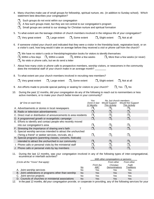- 4. Many churches make use of small groups for fellowship, spiritual nurture, etc. (in addition to Sunday school). Which statement best describes your congregation?
	- $\Box$ <sub>1</sub> Such groups do not exist within our congregation
	- $\Box$ <sub>2</sub> A few such groups meet, but they are not central to our congregation's program
	- $\square$  Small groups are central to our strategy for Christian nurture and spiritual formation
- 5. To what extent are the teenage children of church members involved in the religious life of your congregation?

| $\Box_1$ Very great extent | $\Box_2$ Large extent $\Box_3$ Some extent | $\Box_4$ Slight extent $\Box_5$ Not at all |  |
|----------------------------|--------------------------------------------|--------------------------------------------|--|
|                            |                                            |                                            |  |

6. If someone visited your church and indicated that they were a visitor in the friendship book, registration book, or on a visitor's card, how long would it take on average before they received a *visit* or *phone call* from the church?

 $\Box$ , We have no visitor's cards or friendship/registration books for visitors to identify themselves

| $\Box$ <sub>2</sub> Within a few days $\Box$ <sub>3</sub> Within a week | $\Box$ Within a few weeks | $\square_{5}$ More than a few weeks (or never) |
|-------------------------------------------------------------------------|---------------------------|------------------------------------------------|
| $\Box_6$ No visits or phone calls, but we do send a letter              |                           |                                                |

- 7. About how many *visits* or *phone calls* to prospective members, worship visitors, or newcomers in the community does the ministerial staff of your church make in an average month?
- 8. To what extent are your church members involved in recruiting new members?

- 9. Are efforts made to provide special parking or seating for visitors to your church?  $\Box_1$  Yes  $\Box_2$  No
- 10. During the past 12 months, did your congregation do any of the following to reach out to nonmembers or less active members, or to make your church better known in your community?

| $(V$ One on each line)                                            | Yes<br>Done in last<br>12 Months | <b>Would Support</b><br>This Activity | No, but church members<br><b>Would Not Support</b><br><b>This Activity</b> |
|-------------------------------------------------------------------|----------------------------------|---------------------------------------|----------------------------------------------------------------------------|
| A. Advertisements or stories in local newspapers                  |                                  |                                       |                                                                            |
| B. Radio or television advertisements                             |                                  |                                       | $\mathbin{\sqcup}$                                                         |
| C. Direct mail or distribution of announcements to area residents |                                  |                                       | $\Box_{\circ}$                                                             |
| D. A programmed growth or evangelistic campaign                   |                                  |                                       | $\square_3$                                                                |
| E. Efforts to identify and contact people who recently moved      |                                  |                                       |                                                                            |
| into our congregation's area                                      |                                  |                                       |                                                                            |
| F. Stressing the importance of sharing one's faith                |                                  |                                       | $\Box_2$                                                                   |
| G. Special worship services intended to attract the unchurched    |                                  |                                       |                                                                            |
| ("bring a friend" or seeker services, revivals, etc.)             |                                  |                                       | $\Box_3$                                                                   |
| H. Special programs (parenting classes, concerts, festivals)      |                                  |                                       |                                                                            |
| intended to attract the unchurched in our community               |                                  |                                       | $\Box$                                                                     |
| I. Phone calls or personal visits by the ministerial staff        |                                  |                                       |                                                                            |
| J. Phone calls or personal visits by lay members                  |                                  |                                       |                                                                            |

11. During the last 12 months, was your congregation involved in any of the following types of inter-congregational, ecumenical or interfaith activities?

|                                                      |           |            | With other congregations or persons: |                   |  |  |  |
|------------------------------------------------------|-----------|------------|--------------------------------------|-------------------|--|--|--|
| (Circle all the "Yeses" that apply)                  |           |            | From other                           | From other        |  |  |  |
|                                                      |           | From the   | Christian                            | Faith             |  |  |  |
|                                                      | <u>No</u> | <u>ABC</u> | Denominations                        | <b>Traditions</b> |  |  |  |
| A. Joint worship services                            | No        | Yes        | Yes                                  | Yes               |  |  |  |
| B. Joint celebrations or programs other than worship | No        | Yes        | Yes                                  | Yes               |  |  |  |
| C. Joint service projects                            | No.       | Yes        | Yes                                  | Yes               |  |  |  |
| D. Councils of churches or ministerial associations  | No        | Yes        | Yes                                  | Yes               |  |  |  |

12. In the past 12 months, did your congregation provide, or cooperate in providing, any of the following services for your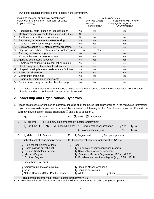own congregation's members or for people in the community?

| [including material or financial contributions,<br>volunteer time by church members, or space<br>in your building] |                                                    |           | <b>Provided Directly</b><br>By Your | --------- Yes, circle all that apply -----------<br>Cooperated With Another<br>Congregation, Agency, |
|--------------------------------------------------------------------------------------------------------------------|----------------------------------------------------|-----------|-------------------------------------|------------------------------------------------------------------------------------------------------|
|                                                                                                                    |                                                    |           | <b>Congregation</b>                 | Or Organization                                                                                      |
| Α.                                                                                                                 | Food pantry, soup kitchen or food donations        | No.       | Yes                                 | Yes                                                                                                  |
| В.                                                                                                                 | Cash or vouchers given to families or individuals  | <b>No</b> | Yes                                 | <b>Yes</b>                                                                                           |
| C.                                                                                                                 | Thrift store or thrift store donations             | <b>No</b> | Yes                                 | Yes                                                                                                  |
| D.                                                                                                                 | Temporary or permanent shelter/housing             | <b>No</b> | <b>Yes</b>                          | <b>Yes</b>                                                                                           |
| Е.                                                                                                                 | Counseling services or support groups              | No.       | Yes                                 | <b>Yes</b>                                                                                           |
| F.                                                                                                                 | Substance abuse & 12-step recovery programs        | <b>No</b> | <b>Yes</b>                          | <b>Yes</b>                                                                                           |
| G.                                                                                                                 | Day care, pre-school, before/after-school programs | <b>No</b> | Yes                                 | Yes                                                                                                  |
| Η.                                                                                                                 | Tutoring or literacy programs                      | <b>No</b> | <b>Yes</b>                          | <b>Yes</b>                                                                                           |
| L.                                                                                                                 | Voter registration or voter education              | No.       | Yes                                 | Yes                                                                                                  |
|                                                                                                                    | J. Organized social issue advocacy                 | No.       | <b>Yes</b>                          | <b>Yes</b>                                                                                           |
| K.                                                                                                                 | Employment counseling, placement or training       | No.       | Yes                                 | Yes                                                                                                  |
|                                                                                                                    | Health programs, clinics, health education         | <b>No</b> | <b>Yes</b>                          | Yes                                                                                                  |
| M.                                                                                                                 | Hospital, nursing home or assisted care facilities | No.       | Yes                                 | Yes                                                                                                  |
| N.                                                                                                                 | Prison or jail ministry                            | <b>No</b> | <b>Yes</b>                          | <b>Yes</b>                                                                                           |
| O.                                                                                                                 | Community organizing                               | No.       | Yes                                 | Yes                                                                                                  |
| Р.                                                                                                                 | Program for migrants or immigrants                 | <b>No</b> | Yes                                 | <b>Yes</b>                                                                                           |
| Q.                                                                                                                 | Senior citizen programs (other than housing)       | No        | Yes                                 | Yes                                                                                                  |

13. In a typical month, about how many people *do you estimate* are served through the services your congregation directly provides? Estimated number of people served \_\_\_\_\_\_\_\_\_\_

### **V. Leadership And Organizational Dynamics**

1. Please describe the current (senior) pastor by checking all of the boxes that apply or filling in the requested information. If you have co-pastors, please check here  $\Box$  and answer the following for the *older* of your co-pastors. If you do not currently have a pastor, please check here  $\Box$  and skip to question 3.

| A. Age? ____ Years old                                                                                                                                                                                                                                                      | В.                                                                                                                                                                                                            | $\Box$ Paid           | $\Box$ <sub>2</sub> Volunteer                                                                                                                                                                                                                                                                                             |                |                            |                            |
|-----------------------------------------------------------------------------------------------------------------------------------------------------------------------------------------------------------------------------------------------------------------------------|---------------------------------------------------------------------------------------------------------------------------------------------------------------------------------------------------------------|-----------------------|---------------------------------------------------------------------------------------------------------------------------------------------------------------------------------------------------------------------------------------------------------------------------------------------------------------------------|----------------|----------------------------|----------------------------|
|                                                                                                                                                                                                                                                                             | C. $\Box$ <sub>1</sub> Full time $\Box$ <sub>2</sub> Full time, supplemented by outside employment<br>$\Box$ <sub>3</sub> Part time $\rightarrow$ IF PART TIME does s/he also: 1) Serve another congregation? |                       | 2) Work a secular job?                                                                                                                                                                                                                                                                                                    |                | $\Box_1$ Yes<br>$\Box$ Yes | $\Box_2$ No<br>$\Box_2$ No |
| D. $\Box_1$ Male                                                                                                                                                                                                                                                            | $\Box_2$ Female<br>Е.                                                                                                                                                                                         |                       | $\Box_1$ Regular call $\Box_2$ Temporary/interim                                                                                                                                                                                                                                                                          |                |                            |                            |
| F. Highest level of education ( $\vee$ one):<br>$\Box$ <sub>1</sub> High school diploma or less<br>$\Box$ <sub>2</sub> Some college or technical<br>$\square$ <sub>3</sub> College Bachelor's Degree<br>$\square$ <sub>4</sub> Masters Degree<br>$\Box_{5}$ Doctoral Degree | $\Box$ <sub>1</sub>                                                                                                                                                                                           | None                  | G. Highest level of <i>ministerial</i> education $(\vee$ one):<br>$\square$ <sub>2</sub> Certificate or correspondence program<br>$\square$ <sub>3</sub> Bible college or some seminary<br>$\Box_{4}$ Seminary Masters Degree (e.g., M.Div., M.R.E.)<br>$\square_{5}$ Post-Masters, seminary degree (e.g., D.Min., Ph.D.) |                |                            |                            |
| H. Race/ethnicity $(v$ one):                                                                                                                                                                                                                                                |                                                                                                                                                                                                               |                       |                                                                                                                                                                                                                                                                                                                           |                |                            |                            |
| $\Box$ <sub>1</sub> American Indian/Alaska Native<br>$\Box$ <sub>2</sub> Asian                                                                                                                                                                                              | $\square$ <sub>3</sub> Native Hawaiian/Other Pacific Islander                                                                                                                                                 | $\Box_{\kappa}$ White | $\Box_4$ Black or African American<br>$\square_{5}$ Hispanic or Latino/a                                                                                                                                                                                                                                                  | $\Box_7$ Other |                            |                            |
|                                                                                                                                                                                                                                                                             | This paraan became your (conjor) poster in what was $2,40$                                                                                                                                                    |                       |                                                                                                                                                                                                                                                                                                                           |                |                            |                            |

I. This person became your (senior) pastor in what year? 19\_\_\_\_\_ 2. How well would most of your members say the following statements describe your (senior) pastor?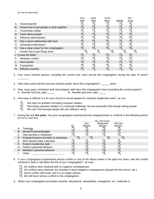|    |                                          | Very        | Quite       | Some-                          |                                | <b>Not</b>            |
|----|------------------------------------------|-------------|-------------|--------------------------------|--------------------------------|-----------------------|
|    |                                          | <b>Well</b> | <b>Well</b> | <b>What</b>                    | Slightly                       | At All                |
| А. | Good preacher                            |             | <u>J.</u>   |                                |                                |                       |
| В. | Knows how to get people to work together |             | $\Box$      | $\Box_{\scriptscriptstyle{2}}$ | $\Box_{4}$                     | $\square_{\varsigma}$ |
| C. | Charismatic leader                       |             |             |                                |                                | $\square_{5}$         |
| D. | Cares about people                       |             | $\Box$      |                                | $\Box_{\scriptscriptstyle{4}}$ | $\square_{\varsigma}$ |
| Е. | Effective administrator                  |             | $\Box$      |                                | $\Box_{\scriptscriptstyle{4}}$ | $\square_{5}$         |
| F. | Has a close relationship with God        |             |             |                                | $\Box_4$                       | $\Box_{\kappa}$       |
| G. | Generates enthusiasm                     |             |             |                                |                                |                       |
| Н. | Has a clear vision for the congregation  |             | $\Box_{2}$  |                                |                                | $\square_{5}$         |
|    | Knows how to get things done             |             |             |                                |                                | $\square_5$           |
|    | J. Knows the Bible                       |             | $\Box$      |                                |                                | $\Box_{\kappa}$       |
| Κ. | Mediates conflict                        |             |             |                                |                                |                       |
|    | Hard worker                              |             |             |                                |                                | $\square_{5}$         |
| M. | Evangelistic                             |             |             |                                | $\Box_{\scriptscriptstyle{A}}$ | l I.                  |
| N. | Effective teacher                        |             |             |                                |                                |                       |
|    |                                          |             |             |                                |                                |                       |

- 3. How many (senior) pastors, including the current one, have served this congregation during the past 10 years? \_\_\_\_\_\_\_\_
- 4. How many years did the previous (senior) pastor serve this congregation? \_\_\_\_\_\_ years
- 5. How many paid, ministerial staff and program staff does this congregation have (including the current pastor)? A. Number full time, paid \_\_\_\_\_\_ B. Number part time, paid
- 6. How easy or difficult is it for your church to recruit people for volunteer leadership roles?  $(V \circ ne)$ 
	- - $\square$ <sup>1</sup> We have no problem recruiting volunteer leaders<br> $\square$ <sub>2</sub> Recruiting volunteer leaders is a continual challer
		- $\Box_2$  Recruiting volunteer leaders is a continual challenge, but we eventually find enough willing people  $\Box_3$  We can't find enough people who are willing to serve
			- We can't find enough people who are willing to serve
- 7. During the last *five years* has your congregation experienced any disagreements or conflicts in the following areas?  $(V$  one on each line)

|    |                                        |           |         | Yes, and it was: |          |  |
|----|----------------------------------------|-----------|---------|------------------|----------|--|
|    |                                        |           | Very    | Moderately       | Not Very |  |
|    |                                        | <u>No</u> | Serious | <b>Serious</b>   | Serious  |  |
|    | Theology                               |           |         |                  |          |  |
| В. | Money/Finances/Budget                  |           |         |                  |          |  |
|    | How worship is conducted               |           |         |                  |          |  |
| D. | Program/mission priorities or emphases |           |         |                  |          |  |
|    | Who should make a decision             |           |         |                  |          |  |
|    | F. Pastor's leadership style           |           |         |                  |          |  |
|    | G. Pastor's personal behavior          |           |         |                  |          |  |
|    | H. Member's personal behavior          |           |         |                  |          |  |
|    | Other:                                 |           |         |                  |          |  |

- 8. If your congregation experienced serious conflict in any of the above areas in the past five years, was the conflict resolved or does it still affect the life of your congregation?  $(\vee$  one)
	- $\Box$ <sub>1</sub> All conflicts were resolved with no negative consequences
	- $\Box_2$  All conflicts were resolved, but resulted in some negative consequences (people left the church, etc.)
	- $\overline{\mathbb{J}}_3$  Some conflict still exists, but it is no longer serious
	- $\overline{\Box}_4$  We still have serious conflict in this congregation
- 9. When your congregation purchases worship, educational, stewardship, evangelism, etc. materials or